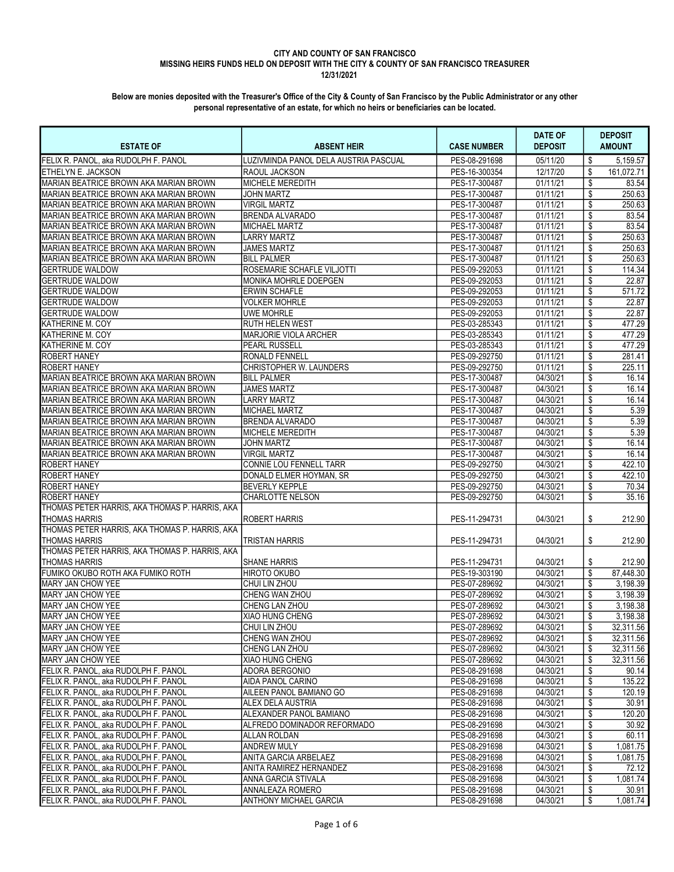## CITY AND COUNTY OF SAN FRANCISCO

# MISSING HEIRS FUNDS HELD ON DEPOSIT WITH THE CITY & COUNTY OF SAN FRANCISCO TREASURER

12/31/2021

| <b>ESTATE OF</b>                                                       | <b>ABSENT HEIR</b>                    | <b>CASE NUMBER</b>             | <b>DATE OF</b><br><b>DEPOSIT</b> | <b>DEPOSIT</b><br><b>AMOUNT</b> |
|------------------------------------------------------------------------|---------------------------------------|--------------------------------|----------------------------------|---------------------------------|
| FELIX R. PANOL, aka RUDOLPH F. PANOL                                   | LUZIVMINDA PANOL DELA AUSTRIA PASCUAL | PES-08-291698                  | 05/11/20                         | 5,159.57<br>\$                  |
| ETHELYN E. JACKSON                                                     | RAOUL JACKSON                         | PES-16-300354                  | 12/17/20                         | \$<br>161,072.71                |
| MARIAN BEATRICE BROWN AKA MARIAN BROWN                                 | <b>MICHELE MEREDITH</b>               | PES-17-300487                  | 01/11/21                         | \$<br>83.54                     |
| MARIAN BEATRICE BROWN AKA MARIAN BROWN                                 | <b>JOHN MARTZ</b>                     | PES-17-300487                  | 01/11/21                         | \$<br>250.63                    |
| MARIAN BEATRICE BROWN AKA MARIAN BROWN                                 | <b>VIRGIL MARTZ</b>                   | PES-17-300487                  | 01/11/21                         | 250.63<br>\$                    |
| MARIAN BEATRICE BROWN AKA MARIAN BROWN                                 | <b>BRENDA ALVARADO</b>                | PES-17-300487                  | 01/11/21                         | \$<br>83.54                     |
| MARIAN BEATRICE BROWN AKA MARIAN BROWN                                 | MICHAEL MARTZ                         | PES-17-300487                  | 01/11/21                         | \$<br>83.54                     |
| MARIAN BEATRICE BROWN AKA MARIAN BROWN                                 | <b>LARRY MARTZ</b>                    | PES-17-300487                  | 01/11/21                         | 250.63<br>\$                    |
| MARIAN BEATRICE BROWN AKA MARIAN BROWN                                 | <b>JAMES MARTZ</b>                    | PES-17-300487                  | 01/11/21                         | \$<br>250.63                    |
| MARIAN BEATRICE BROWN AKA MARIAN BROWN                                 | <b>BILL PALMER</b>                    | PES-17-300487                  | 01/11/21                         | \$<br>250.63                    |
| <b>GERTRUDE WALDOW</b>                                                 | ROSEMARIE SCHAFLE VILJOTTI            | PES-09-292053                  | 01/11/21                         | \$<br>114.34                    |
| <b>GERTRUDE WALDOW</b>                                                 | IMONIKA MOHRLE DOEPGEN                | PES-09-292053                  | 01/11/21                         | \$<br>22.87                     |
| <b>GERTRUDE WALDOW</b>                                                 | ERWIN SCHAFLE                         | PES-09-292053                  | 01/11/21                         | \$<br>571.72                    |
| <b>GERTRUDE WALDOW</b>                                                 | <b>VOLKER MOHRLE</b>                  | PES-09-292053                  | 01/11/21                         | \$<br>22.87                     |
| <b>GERTRUDE WALDOW</b>                                                 | <b>UWE MOHRLE</b>                     | PES-09-292053                  | 01/11/21                         | \$<br>22.87                     |
| KATHERINE M. COY                                                       | <b>RUTH HELEN WEST</b>                | PES-03-285343                  | 01/11/21                         | \$<br>477.29                    |
| KATHERINE M. COY                                                       | MARJORIE VIOLA ARCHER                 | PES-03-285343                  | 01/11/21                         | \$<br>477.29                    |
| KATHERINE M. COY                                                       | <b>PEARL RUSSELL</b>                  | PES-03-285343                  | 01/11/21                         | \$<br>477.29                    |
| <b>ROBERT HANEY</b>                                                    | RONALD FENNELL                        | PES-09-292750                  | 01/11/21                         | \$<br>281.41                    |
| <b>ROBERT HANEY</b>                                                    | CHRISTOPHER W. LAUNDERS               | PES-09-292750                  | 01/11/21                         | 225.11<br>\$                    |
| MARIAN BEATRICE BROWN AKA MARIAN BROWN                                 | <b>BILL PALMER</b>                    | PES-17-300487                  | 04/30/21                         | \$<br>16.14                     |
| MARIAN BEATRICE BROWN AKA MARIAN BROWN                                 | JAMES MARTZ                           | PES-17-300487                  | 04/30/21                         | \$<br>16.14                     |
| MARIAN BEATRICE BROWN AKA MARIAN BROWN                                 | <b>LARRY MARTZ</b>                    | PES-17-300487                  | 04/30/21                         | \$<br>16.14                     |
| MARIAN BEATRICE BROWN AKA MARIAN BROWN                                 | MICHAEL MARTZ                         | PES-17-300487                  | 04/30/21                         | \$<br>5.39                      |
| MARIAN BEATRICE BROWN AKA MARIAN BROWN                                 | <b>BRENDA ALVARADO</b>                | PES-17-300487                  | 04/30/21                         | \$<br>5.39                      |
| MARIAN BEATRICE BROWN AKA MARIAN BROWN                                 | IMICHELE MEREDITH                     | PES-17-300487                  | 04/30/21                         | \$<br>5.39                      |
| MARIAN BEATRICE BROWN AKA MARIAN BROWN                                 | <b>JOHN MARTZ</b>                     | PES-17-300487                  | 04/30/21                         | \$<br>16.14                     |
| MARIAN BEATRICE BROWN AKA MARIAN BROWN                                 | <b>VIRGIL MARTZ</b>                   | PES-17-300487                  | 04/30/21                         | \$<br>16.14                     |
| <b>ROBERT HANEY</b>                                                    | CONNIE LOU FENNELL TARR               | PES-09-292750                  | 04/30/21                         | \$<br>422.10                    |
| <b>ROBERT HANEY</b>                                                    | DONALD ELMER HOYMAN, SR               | PES-09-292750                  | 04/30/21                         | \$<br>422.10                    |
| <b>ROBERT HANEY</b>                                                    | <b>BEVERLY KEPPLE</b>                 | PES-09-292750                  | 04/30/21                         | \$<br>70.34                     |
| <b>ROBERT HANEY</b>                                                    | <b>CHARLOTTE NELSON</b>               | PES-09-292750                  | 04/30/21                         | \$<br>35.16                     |
| THOMAS PETER HARRIS, AKA THOMAS P. HARRIS, AKA                         |                                       |                                |                                  |                                 |
| <b>THOMAS HARRIS</b>                                                   | <b>ROBERT HARRIS</b>                  | PES-11-294731                  | 04/30/21                         | 212.90<br>\$                    |
| THOMAS PETER HARRIS, AKA THOMAS P. HARRIS, AKA                         |                                       |                                |                                  |                                 |
| <b>THOMAS HARRIS</b><br>THOMAS PETER HARRIS, AKA THOMAS P. HARRIS, AKA | <b>TRISTAN HARRIS</b>                 | PES-11-294731                  | 04/30/21                         | \$<br>212.90                    |
| <b>THOMAS HARRIS</b>                                                   |                                       |                                |                                  |                                 |
| FUMIKO OKUBO ROTH AKA FUMIKO ROTH                                      | <b>SHANE HARRIS</b><br>HIROTO OKUBO   | PES-11-294731<br>PES-19-303190 | 04/30/21<br>04/30/21             | 212.90<br>\$<br>\$<br>87,448.30 |
| <b>MARY JAN CHOW YEE</b>                                               | CHUI LIN ZHOU                         | PES-07-289692                  | 04/30/21                         | \$<br>3,198.39                  |
| MARY JAN CHOW YEE                                                      | CHENG WAN ZHOU                        | PES-07-289692                  | 04/30/21                         | \$<br>3,198.39                  |
| <b>MARY JAN CHOW YEE</b>                                               | CHENG LAN ZHOU                        | PES-07-289692                  | 04/30/21                         | \$<br>3.198.38                  |
| MARY JAN CHOW YEE                                                      | XIAO HUNG CHENG                       | PES-07-289692                  | 04/30/21                         | \$<br>3,198.38                  |
| MARY JAN CHOW YEE                                                      | CHUI LIN ZHOU                         | PES-07-289692                  | 04/30/21                         | 32,311.56<br>\$                 |
| <b>MARY JAN CHOW YEE</b>                                               | <b>CHENG WAN ZHOU</b>                 | PES-07-289692                  | 04/30/21                         | \$<br>32.311.56                 |
| MARY JAN CHOW YEE                                                      | CHENG LAN ZHOU                        | PES-07-289692                  | 04/30/21                         | \$<br>32,311.56                 |
| MARY JAN CHOW YEE                                                      | <b>XIAO HUNG CHENG</b>                | PES-07-289692                  | 04/30/21                         | \$<br>32,311.56                 |
| FELIX R. PANOL. aka RUDOLPH F. PANOL                                   | <b>ADORA BERGONIO</b>                 | PES-08-291698                  | 04/30/21                         | \$<br>90.14                     |
| FELIX R. PANOL, aka RUDOLPH F. PANOL                                   | AIDA PANOL CARINO                     | PES-08-291698                  | 04/30/21                         | \$<br>135.22                    |
| FELIX R. PANOL, aka RUDOLPH F. PANOL                                   | AILEEN PANOL BAMIANO GO               | PES-08-291698                  | 04/30/21                         | \$<br>120.19                    |
| FELIX R. PANOL, aka RUDOLPH F. PANOL                                   | ALEX DELA AUSTRIA                     | PES-08-291698                  | 04/30/21                         | \$<br>30.91                     |
| FELIX R. PANOL, aka RUDOLPH F. PANOL                                   | ALEXANDER PANOL BAMIANO               | PES-08-291698                  | 04/30/21                         | \$<br>120.20                    |
| FELIX R. PANOL, aka RUDOLPH F. PANOL                                   | ALFREDO DOMINADOR REFORMADO           | PES-08-291698                  | 04/30/21                         | \$<br>30.92                     |
| FELIX R. PANOL, aka RUDOLPH F. PANOL                                   | ALLAN ROLDAN                          | PES-08-291698                  | 04/30/21                         | \$<br>60.11                     |
| FELIX R. PANOL, aka RUDOLPH F. PANOL                                   | <b>ANDREW MULY</b>                    | PES-08-291698                  | 04/30/21                         | \$<br>1,081.75                  |
| FELIX R. PANOL, aka RUDOLPH F. PANOL                                   | ANITA GARCIA ARBELAEZ                 | PES-08-291698                  | 04/30/21                         | \$<br>1,081.75                  |
| FELIX R. PANOL, aka RUDOLPH F. PANOL                                   | ANITA RAMIREZ HERNANDEZ               | PES-08-291698                  | 04/30/21                         | \$<br>72.12                     |
| FELIX R. PANOL, aka RUDOLPH F. PANOL                                   | ANNA GARCIA STIVALA                   | PES-08-291698                  | 04/30/21                         | \$<br>1,081.74                  |
| FELIX R. PANOL, aka RUDOLPH F. PANOL                                   | ANNALEAZA ROMERO                      | PES-08-291698                  | 04/30/21                         | \$<br>30.91                     |
| FELIX R. PANOL, aka RUDOLPH F. PANOL                                   | <b>ANTHONY MICHAEL GARCIA</b>         | PES-08-291698                  | 04/30/21                         | \$<br>1,081.74                  |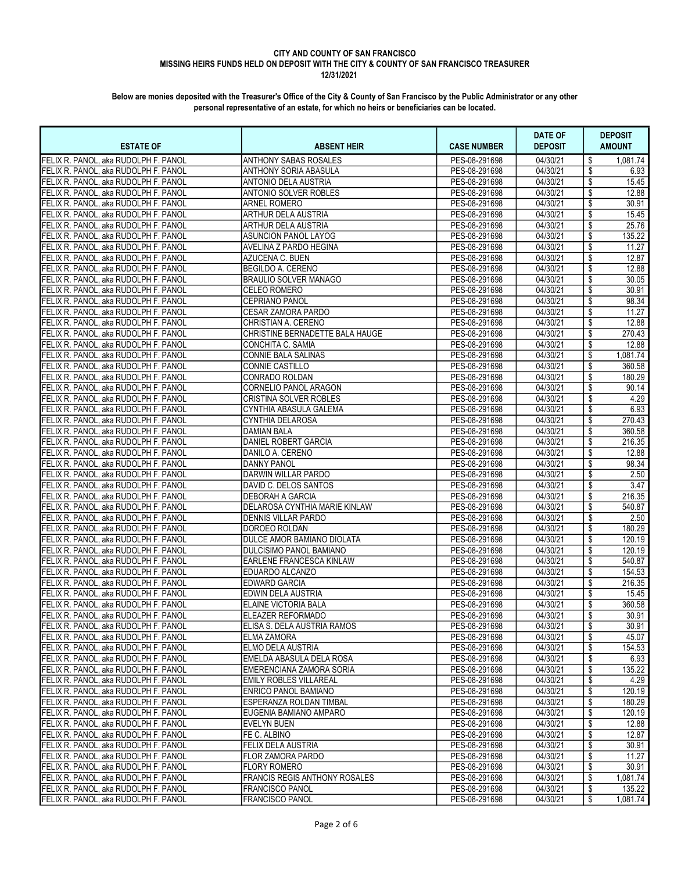| <b>ESTATE OF</b>                                                             | <b>ABSENT HEIR</b>                         | <b>CASE NUMBER</b>             | <b>DATE OF</b><br><b>DEPOSIT</b> | <b>DEPOSIT</b><br><b>AMOUNT</b> |
|------------------------------------------------------------------------------|--------------------------------------------|--------------------------------|----------------------------------|---------------------------------|
| FELIX R. PANOL. aka RUDOLPH F. PANOL                                         | <b>ANTHONY SABAS ROSALES</b>               | PES-08-291698                  | 04/30/21                         | \$<br>1,081.74                  |
| FELIX R. PANOL, aka RUDOLPH F. PANOL                                         | <b>ANTHONY SORIA ABASULA</b>               | PES-08-291698                  | 04/30/21                         | 6.93<br>\$                      |
| FELIX R. PANOL, aka RUDOLPH F. PANOL                                         | <b>ANTONIO DELA AUSTRIA</b>                | PES-08-291698                  | 04/30/21                         | \$<br>15.45                     |
| FELIX R. PANOL, aka RUDOLPH F. PANOL                                         | <b>ANTONIO SOLVER ROBLES</b>               | PES-08-291698                  | 04/30/21                         | \$<br>12.88                     |
| FELIX R. PANOL, aka RUDOLPH F. PANOL                                         | <b>ARNEL ROMERO</b>                        | PES-08-291698                  | 04/30/21                         | \$<br>30.91                     |
| FELIX R. PANOL, aka RUDOLPH F. PANOL                                         | <b>ARTHUR DELA AUSTRIA</b>                 | PES-08-291698                  | 04/30/21                         | \$<br>15.45                     |
| FELIX R. PANOL, aka RUDOLPH F. PANOL                                         | <b>ARTHUR DELA AUSTRIA</b>                 | PES-08-291698                  | 04/30/21                         | 25.76<br>\$                     |
| FELIX R. PANOL, aka RUDOLPH F. PANOL                                         | <b>ASUNCION PANOL LAYOG</b>                | PES-08-291698                  | 04/30/21                         | \$<br>135.22                    |
| FELIX R. PANOL, aka RUDOLPH F. PANOL                                         | AVELINA Z PARDO HEGINA                     | PES-08-291698                  | 04/30/21                         | \$<br>11.27                     |
| FELIX R. PANOL, aka RUDOLPH F. PANOL                                         | AZUCENA C. BUEN                            | PES-08-291698                  | 04/30/21                         | 12.87<br>\$                     |
| FELIX R. PANOL, aka RUDOLPH F. PANOL                                         | BEGILDO A. CERENO                          | PES-08-291698                  | 04/30/21                         | \$<br>12.88                     |
| FELIX R. PANOL, aka RUDOLPH F. PANOL                                         | <b>BRAULIO SOLVER MANAGO</b>               | PES-08-291698                  | 04/30/21                         | \$<br>30.05                     |
| FELIX R. PANOL, aka RUDOLPH F. PANOL                                         | <b>CELEO ROMERO</b>                        | PES-08-291698                  | 04/30/21                         | \$<br>30.91                     |
| FELIX R. PANOL, aka RUDOLPH F. PANOL                                         | <b>CEPRIANO PANOL</b>                      | PES-08-291698                  | 04/30/21                         | \$<br>98.34                     |
| FELIX R. PANOL, aka RUDOLPH F. PANOL                                         | <b>CESAR ZAMORA PARDO</b>                  | PES-08-291698                  | 04/30/21                         | \$<br>11.27                     |
| FELIX R. PANOL, aka RUDOLPH F. PANOL                                         | CHRISTIAN A. CERENO                        | PES-08-291698                  | 04/30/21                         | \$<br>12.88                     |
| FELIX R. PANOL, aka RUDOLPH F. PANOL                                         | CHRISTINE BERNADETTE BALA HAUGE            | PES-08-291698                  | 04/30/21                         | \$<br>270.43                    |
| FELIX R. PANOL, aka RUDOLPH F. PANOL                                         | CONCHITA C. SAMIA                          | PES-08-291698                  | 04/30/21                         | \$<br>12.88                     |
| FELIX R. PANOL, aka RUDOLPH F. PANOL                                         | CONNIE BALA SALINAS                        | PES-08-291698                  | 04/30/21                         | \$<br>1,081.74                  |
| FELIX R. PANOL. aka RUDOLPH F. PANOL                                         | CONNIE CASTILLO                            | PES-08-291698                  | 04/30/21                         | \$<br>360.58                    |
| FELIX R. PANOL, aka RUDOLPH F. PANOL                                         | CONRADO ROLDAN                             | PES-08-291698                  | 04/30/21                         | \$<br>180.29                    |
| FELIX R. PANOL, aka RUDOLPH F. PANOL                                         | CORNELIO PANOL ARAGON                      | PES-08-291698                  | 04/30/21                         | \$<br>90.14                     |
| FELIX R. PANOL, aka RUDOLPH F. PANOL                                         | CRISTINA SOLVER ROBLES                     | PES-08-291698                  | 04/30/21                         | \$<br>4.29                      |
| FELIX R. PANOL, aka RUDOLPH F. PANOL                                         | CYNTHIA ABASULA GALEMA                     | PES-08-291698                  | 04/30/21                         | \$<br>6.93                      |
| FELIX R. PANOL. aka RUDOLPH F. PANOL                                         | <b>CYNTHIA DELAROSA</b>                    | PES-08-291698                  | 04/30/21                         | \$<br>270.43                    |
| FELIX R. PANOL, aka RUDOLPH F. PANOL                                         | <b>DAMIAN BALA</b>                         | PES-08-291698                  | 04/30/21                         | \$<br>360.58                    |
| FELIX R. PANOL, aka RUDOLPH F. PANOL                                         | DANIEL ROBERT GARCIA                       | PES-08-291698                  | 04/30/21                         | \$<br>216.35                    |
| FELIX R. PANOL, aka RUDOLPH F. PANOL                                         | DANILO A. CERENO                           | PES-08-291698                  | 04/30/21                         | \$<br>12.88                     |
| FELIX R. PANOL, aka RUDOLPH F. PANOL                                         | <b>DANNY PANOL</b>                         | PES-08-291698                  | 04/30/21                         | \$<br>98.34                     |
| FELIX R. PANOL, aka RUDOLPH F. PANOL                                         | DARWIN WILLAR PARDO                        | PES-08-291698                  | 04/30/21                         | \$<br>2.50                      |
| FELIX R. PANOL, aka RUDOLPH F. PANOL                                         | DAVID C. DELOS SANTOS                      | PES-08-291698                  | 04/30/21                         | \$<br>3.47                      |
| FELIX R. PANOL, aka RUDOLPH F. PANOL                                         | <b>DEBORAH A GARCIA</b>                    | PES-08-291698                  | 04/30/21                         | \$<br>216.35                    |
| FELIX R. PANOL, aka RUDOLPH F. PANOL                                         | DELAROSA CYNTHIA MARIE KINLAW              | PES-08-291698                  | 04/30/21                         | \$<br>540.87                    |
| FELIX R. PANOL, aka RUDOLPH F. PANOL                                         | <b>DENNIS VILLAR PARDO</b>                 | PES-08-291698                  | 04/30/21                         | \$<br>2.50                      |
| FELIX R. PANOL, aka RUDOLPH F. PANOL                                         | DOROEO ROLDAN                              | PES-08-291698                  | 04/30/21                         | \$<br>180.29                    |
| FELIX R. PANOL, aka RUDOLPH F. PANOL                                         | <b>DULCE AMOR BAMIANO DIOLATA</b>          | PES-08-291698                  | 04/30/21                         | \$<br>120.19                    |
| FELIX R. PANOL, aka RUDOLPH F. PANOL                                         | DULCISIMO PANOL BAMIANO                    | PES-08-291698                  | 04/30/21                         | \$<br>120.19                    |
| FELIX R. PANOL, aka RUDOLPH F. PANOL                                         | <b>EARLENE FRANCESCA KINLAW</b>            | PES-08-291698                  | 04/30/21                         | \$<br>540.87                    |
| FELIX R. PANOL, aka RUDOLPH F. PANOL                                         | EDUARDO ALCANZO                            | PES-08-291698                  | 04/30/21                         | \$<br>154.53                    |
| FELIX R. PANOL, aka RUDOLPH F. PANOL<br>FELIX R. PANOL. aka RUDOLPH F. PANOL | <b>EDWARD GARCIA</b><br>EDWIN DELA AUSTRIA | PES-08-291698<br>PES-08-291698 | 04/30/21<br>04/30/21             | \$<br>216.35<br>\$<br>15.45     |
| FELIX R. PANOL, aka RUDOLPH F. PANOL                                         | ELAINE VICTORIA BALA                       | PES-08-291698                  | 04/30/21                         | \$<br>360.58                    |
| FELIX R. PANOL, aka RUDOLPH F. PANOL                                         | ELEAZER REFORMADO                          | PES-08-291698                  | 04/30/21                         | 30.91<br>\$                     |
| FELIX R. PANOL, aka RUDOLPH F. PANOL                                         | JELISA S. DELA AUSTRIA RAMOS               | PES-08-291698                  | 04/30/21                         | \$<br>30.91                     |
| FELIX R. PANOL. aka RUDOLPH F. PANOL                                         | <b>ELMA ZAMORA</b>                         | PES-08-291698                  | 04/30/21                         | \$<br>45.07                     |
| FELIX R. PANOL, aka RUDOLPH F. PANOL                                         | ELMO DELA AUSTRIA                          | PES-08-291698                  | 04/30/21                         | \$<br>154.53                    |
| FELIX R. PANOL. aka RUDOLPH F. PANOL                                         | EMELDA ABASULA DELA ROSA                   | PES-08-291698                  | 04/30/21                         | \$<br>6.93                      |
| FELIX R. PANOL, aka RUDOLPH F. PANOL                                         | EMERENCIANA ZAMORA SORIA                   | PES-08-291698                  | 04/30/21                         | \$<br>135.22                    |
| FELIX R. PANOL, aka RUDOLPH F. PANOL                                         | <b>EMILY ROBLES VILLAREAL</b>              | PES-08-291698                  | 04/30/21                         | \$<br>4.29                      |
| FELIX R. PANOL, aka RUDOLPH F. PANOL                                         | ENRICO PANOL BAMIANO                       | PES-08-291698                  | 04/30/21                         | \$<br>120.19                    |
| FELIX R. PANOL, aka RUDOLPH F. PANOL                                         | ESPERANZA ROLDAN TIMBAL                    | PES-08-291698                  | 04/30/21                         | \$<br>180.29                    |
| FELIX R. PANOL, aka RUDOLPH F. PANOL                                         | EUGENIA BAMIANO AMPARO                     | PES-08-291698                  | 04/30/21                         | \$<br>120.19                    |
| FELIX R. PANOL, aka RUDOLPH F. PANOL                                         | <b>EVELYN BUEN</b>                         | PES-08-291698                  | 04/30/21                         | \$<br>12.88                     |
| FELIX R. PANOL, aka RUDOLPH F. PANOL                                         | FE C. ALBINO                               | PES-08-291698                  | 04/30/21                         | \$<br>12.87                     |
| FELIX R. PANOL, aka RUDOLPH F. PANOL                                         | FELIX DELA AUSTRIA                         | PES-08-291698                  | 04/30/21                         | \$<br>30.91                     |
| FELIX R. PANOL, aka RUDOLPH F. PANOL                                         | FLOR ZAMORA PARDO                          | PES-08-291698                  | 04/30/21                         | \$<br>11.27                     |
| FELIX R. PANOL, aka RUDOLPH F. PANOL                                         | FLORY ROMERO                               | PES-08-291698                  | 04/30/21                         | \$<br>30.91                     |
| FELIX R. PANOL, aka RUDOLPH F. PANOL                                         | <b>FRANCIS REGIS ANTHONY ROSALES</b>       | PES-08-291698                  | 04/30/21                         | \$<br>1,081.74                  |
| FELIX R. PANOL, aka RUDOLPH F. PANOL                                         | <b>FRANCISCO PANOL</b>                     | PES-08-291698                  | 04/30/21                         | \$<br>135.22                    |
| FELIX R. PANOL, aka RUDOLPH F. PANOL                                         | FRANCISCO PANOL                            | PES-08-291698                  | 04/30/21                         | \$<br>1,081.74                  |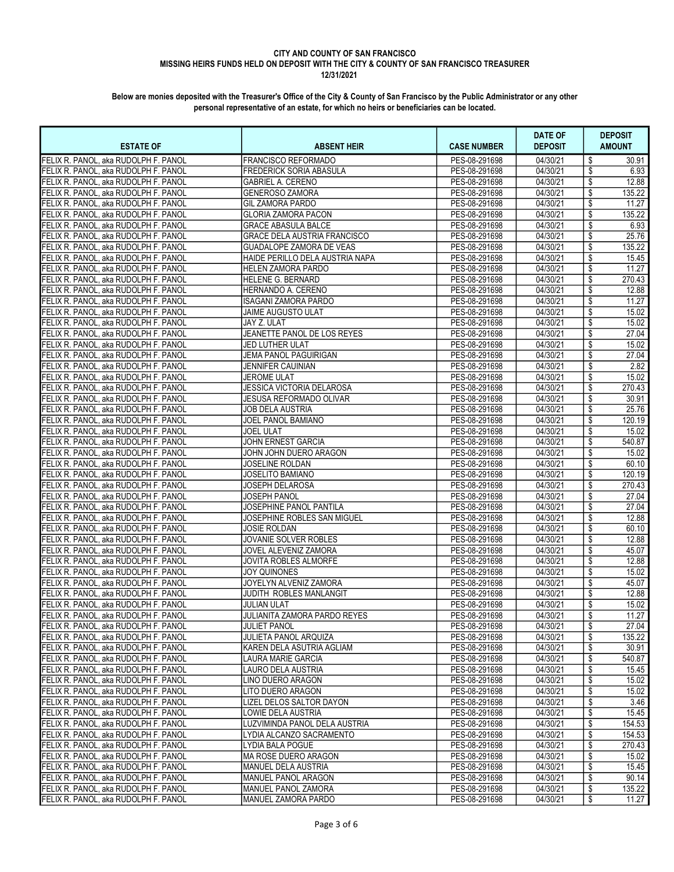| <b>ESTATE OF</b>                                                             | <b>ABSENT HEIR</b>                                  | <b>CASE NUMBER</b>             | <b>DATE OF</b><br><b>DEPOSIT</b> | <b>DEPOSIT</b><br><b>AMOUNT</b> |
|------------------------------------------------------------------------------|-----------------------------------------------------|--------------------------------|----------------------------------|---------------------------------|
| FELIX R. PANOL. aka RUDOLPH F. PANOL                                         | FRANCISCO REFORMADO                                 | PES-08-291698                  | 04/30/21                         | \$<br>30.91                     |
| FELIX R. PANOL, aka RUDOLPH F. PANOL                                         | <b>FREDERICK SORIA ABASULA</b>                      | PES-08-291698                  | 04/30/21                         | 6.93<br>\$                      |
| FELIX R. PANOL, aka RUDOLPH F. PANOL                                         | <b>GABRIEL A. CERENO</b>                            | PES-08-291698                  | 04/30/21                         | \$<br>12.88                     |
| FELIX R. PANOL, aka RUDOLPH F. PANOL                                         | <b>GENEROSO ZAMORA</b>                              | PES-08-291698                  | 04/30/21                         | \$<br>135.22                    |
| FELIX R. PANOL, aka RUDOLPH F. PANOL                                         | <b>GIL ZAMORA PARDO</b>                             | PES-08-291698                  | 04/30/21                         | \$<br>11.27                     |
| FELIX R. PANOL, aka RUDOLPH F. PANOL                                         | <b>GLORIA ZAMORA PACON</b>                          | PES-08-291698                  | 04/30/21                         | \$<br>135.22                    |
| FELIX R. PANOL, aka RUDOLPH F. PANOL                                         | <b>GRACE ABASULA BALCE</b>                          | PES-08-291698                  | 04/30/21                         | \$<br>6.93                      |
| FELIX R. PANOL, aka RUDOLPH F. PANOL                                         | <b>GRACE DELA AUSTRIA FRANCISCO</b>                 | PES-08-291698                  | 04/30/21                         | 25.76<br>\$                     |
| FELIX R. PANOL, aka RUDOLPH F. PANOL                                         | <b>GUADALOPE ZAMORA DE VEAS</b>                     | PES-08-291698                  | 04/30/21                         | \$<br>135.22                    |
| FELIX R. PANOL, aka RUDOLPH F. PANOL                                         | HAIDE PERILLO DELA AUSTRIA NAPA                     | PES-08-291698                  | 04/30/21                         | \$<br>15.45                     |
| FELIX R. PANOL, aka RUDOLPH F. PANOL                                         | HELEN ZAMORA PARDO                                  | PES-08-291698                  | 04/30/21                         | \$<br>11.27                     |
| FELIX R. PANOL, aka RUDOLPH F. PANOL                                         | <b>HELENE G. BERNARD</b>                            | PES-08-291698                  | 04/30/21                         | \$<br>270.43                    |
| FELIX R. PANOL, aka RUDOLPH F. PANOL                                         | HERNANDO A. CERENO                                  | PES-08-291698                  | 04/30/21                         | \$<br>12.88                     |
| FELIX R. PANOL, aka RUDOLPH F. PANOL                                         | ISAGANI ZAMORA PARDO                                | PES-08-291698                  | 04/30/21                         | \$<br>11.27                     |
| FELIX R. PANOL, aka RUDOLPH F. PANOL                                         | JAIME AUGUSTO ULAT                                  | PES-08-291698                  | 04/30/21                         | 15.02<br>\$                     |
| FELIX R. PANOL, aka RUDOLPH F. PANOL                                         | JAY Z. ULAT                                         | PES-08-291698                  | 04/30/21                         | \$<br>15.02                     |
| FELIX R. PANOL, aka RUDOLPH F. PANOL                                         | JEANETTE PANOL DE LOS REYES                         | PES-08-291698                  | 04/30/21                         | \$<br>27.04                     |
| FELIX R. PANOL, aka RUDOLPH F. PANOL                                         | <b>JED LUTHER ULAT</b>                              | PES-08-291698                  | 04/30/21                         | \$<br>15.02                     |
| FELIX R. PANOL, aka RUDOLPH F. PANOL                                         | JEMA PANOL PAGUIRIGAN                               | PES-08-291698                  | 04/30/21                         | \$<br>27.04                     |
| FELIX R. PANOL. aka RUDOLPH F. PANOL                                         | <b>JENNIFER CAUINIAN</b>                            | PES-08-291698                  | 04/30/21                         | \$<br>2.82                      |
| FELIX R. PANOL, aka RUDOLPH F. PANOL                                         | JEROME ULAT                                         | PES-08-291698                  | 04/30/21                         | \$<br>15.02                     |
| FELIX R. PANOL, aka RUDOLPH F. PANOL                                         | JESSICA VICTORIA DELAROSA                           | PES-08-291698                  | 04/30/21                         | \$<br>270.43                    |
| FELIX R. PANOL, aka RUDOLPH F. PANOL                                         | JESUSA REFORMADO OLIVAR                             | PES-08-291698                  | 04/30/21                         | \$<br>30.91                     |
| FELIX R. PANOL, aka RUDOLPH F. PANOL                                         | JOB DELA AUSTRIA                                    | PES-08-291698                  | 04/30/21                         | 25.76<br>\$                     |
| FELIX R. PANOL. aka RUDOLPH F. PANOL                                         | JOEL PANOL BAMIANO                                  | PES-08-291698                  | 04/30/21                         | \$<br>120.19                    |
| FELIX R. PANOL, aka RUDOLPH F. PANOL                                         | JOEL ULAT                                           | PES-08-291698                  | 04/30/21                         | \$<br>15.02                     |
| FELIX R. PANOL, aka RUDOLPH F. PANOL                                         | JOHN ERNEST GARCIA                                  | PES-08-291698                  | 04/30/21                         | \$<br>540.87                    |
| FELIX R. PANOL, aka RUDOLPH F. PANOL                                         | JOHN JOHN DUERO ARAGON                              | PES-08-291698                  | 04/30/21                         | \$<br>15.02                     |
| FELIX R. PANOL, aka RUDOLPH F. PANOL                                         | JOSELINE ROLDAN                                     | PES-08-291698                  | 04/30/21                         | \$<br>60.10                     |
| FELIX R. PANOL, aka RUDOLPH F. PANOL                                         | JOSELITO BAMIANO                                    | PES-08-291698                  | 04/30/21                         | \$<br>120.19                    |
| FELIX R. PANOL, aka RUDOLPH F. PANOL                                         | JOSEPH DELAROSA                                     | PES-08-291698                  | 04/30/21                         | \$<br>270.43                    |
| FELIX R. PANOL, aka RUDOLPH F. PANOL                                         | JOSEPH PANOL                                        | PES-08-291698                  | 04/30/21                         | \$<br>27.04                     |
| FELIX R. PANOL, aka RUDOLPH F. PANOL                                         | JOSEPHINE PANOL PANTILA                             | PES-08-291698                  | 04/30/21                         | 27.04<br>\$                     |
| FELIX R. PANOL, aka RUDOLPH F. PANOL                                         | JOSEPHINE ROBLES SAN MIGUEL                         | PES-08-291698                  | 04/30/21                         | \$<br>12.88                     |
| FELIX R. PANOL, aka RUDOLPH F. PANOL                                         | <b>JOSIE ROLDAN</b>                                 | PES-08-291698                  | 04/30/21                         | \$<br>60.10                     |
| FELIX R. PANOL, aka RUDOLPH F. PANOL                                         | JOVANIE SOLVER ROBLES                               | PES-08-291698                  | 04/30/21                         | \$<br>12.88                     |
| FELIX R. PANOL, aka RUDOLPH F. PANOL                                         | JOVEL ALEVENIZ ZAMORA                               | PES-08-291698                  | 04/30/21                         | \$<br>45.07                     |
| FELIX R. PANOL, aka RUDOLPH F. PANOL                                         | JOVITA ROBLES ALMORFE                               | PES-08-291698                  | 04/30/21                         | \$<br>12.88                     |
| FELIX R. PANOL, aka RUDOLPH F. PANOL                                         | JOY QUINONES                                        | PES-08-291698                  | 04/30/21                         | \$<br>15.02                     |
| FELIX R. PANOL, aka RUDOLPH F. PANOL                                         | JOYELYN ALVENIZ ZAMORA                              | PES-08-291698<br>PES-08-291698 | 04/30/21<br>04/30/21             | \$<br>45.07<br>12.88            |
| FELIX R. PANOL. aka RUDOLPH F. PANOL<br>FELIX R. PANOL, aka RUDOLPH F. PANOL | JUDITH ROBLES MANLANGIT<br><b>JULIAN ULAT</b>       | PES-08-291698                  | 04/30/21                         | \$<br>15.02                     |
|                                                                              |                                                     | PES-08-291698                  | 04/30/21                         | \$<br>\$<br>11.27               |
| FELIX R. PANOL, aka RUDOLPH F. PANOL<br>FELIX R. PANOL, aka RUDOLPH F. PANOL | JULIANITA ZAMORA PARDO REYES<br><b>JULIET PANOL</b> | PES-08-291698                  | 04/30/21                         | \$<br>27.04                     |
| FELIX R. PANOL. aka RUDOLPH F. PANOL                                         | JULIETA PANOL ARQUIZA                               | PES-08-291698                  | 04/30/21                         | \$<br>135.22                    |
| FELIX R. PANOL, aka RUDOLPH F. PANOL                                         | KAREN DELA ASUTRIA AGLIAM                           | PES-08-291698                  | 04/30/21                         | \$<br>30.91                     |
| FELIX R. PANOL, aka RUDOLPH F. PANOL                                         | <b>LAURA MARIE GARCIA</b>                           | PES-08-291698                  | 04/30/21                         | \$<br>540.87                    |
| FELIX R. PANOL, aka RUDOLPH F. PANOL                                         | LAURO DELA AUSTRIA                                  | PES-08-291698                  | 04/30/21                         | \$<br>15.45                     |
| FELIX R. PANOL, aka RUDOLPH F. PANOL                                         | LINO DUERO ARAGON                                   | PES-08-291698                  | 04/30/21                         | \$<br>15.02                     |
| FELIX R. PANOL, aka RUDOLPH F. PANOL                                         | LITO DUERO ARAGON                                   | PES-08-291698                  | 04/30/21                         | \$<br>15.02                     |
| FELIX R. PANOL, aka RUDOLPH F. PANOL                                         | LIZEL DELOS SALTOR DAYON                            | PES-08-291698                  | 04/30/21                         | \$<br>3.46                      |
| FELIX R. PANOL, aka RUDOLPH F. PANOL                                         | LOWIE DELA AUSTRIA                                  | PES-08-291698                  | 04/30/21                         | \$<br>15.45                     |
| FELIX R. PANOL, aka RUDOLPH F. PANOL                                         | LUZVIMINDA PANOL DELA AUSTRIA                       | PES-08-291698                  | 04/30/21                         | \$<br>154.53                    |
| FELIX R. PANOL, aka RUDOLPH F. PANOL                                         | LYDIA ALCANZO SACRAMENTO                            | PES-08-291698                  | 04/30/21                         | \$<br>154.53                    |
| FELIX R. PANOL, aka RUDOLPH F. PANOL                                         | LYDIA BALA POGUE                                    | PES-08-291698                  | 04/30/21                         | \$<br>270.43                    |
| FELIX R. PANOL, aka RUDOLPH F. PANOL                                         | IMA ROSE DUERO ARAGON                               | PES-08-291698                  | 04/30/21                         | \$<br>15.02                     |
| FELIX R. PANOL, aka RUDOLPH F. PANOL                                         | MANUEL DELA AUSTRIA                                 | PES-08-291698                  | 04/30/21                         | \$<br>15.45                     |
| FELIX R. PANOL, aka RUDOLPH F. PANOL                                         | MANUEL PANOL ARAGON                                 | PES-08-291698                  | 04/30/21                         | \$<br>90.14                     |
| FELIX R. PANOL, aka RUDOLPH F. PANOL                                         | MANUEL PANOL ZAMORA                                 | PES-08-291698                  | 04/30/21                         | \$<br>135.22                    |
| FELIX R. PANOL, aka RUDOLPH F. PANOL                                         | MANUEL ZAMORA PARDO                                 | PES-08-291698                  | 04/30/21                         | 11.27<br>\$                     |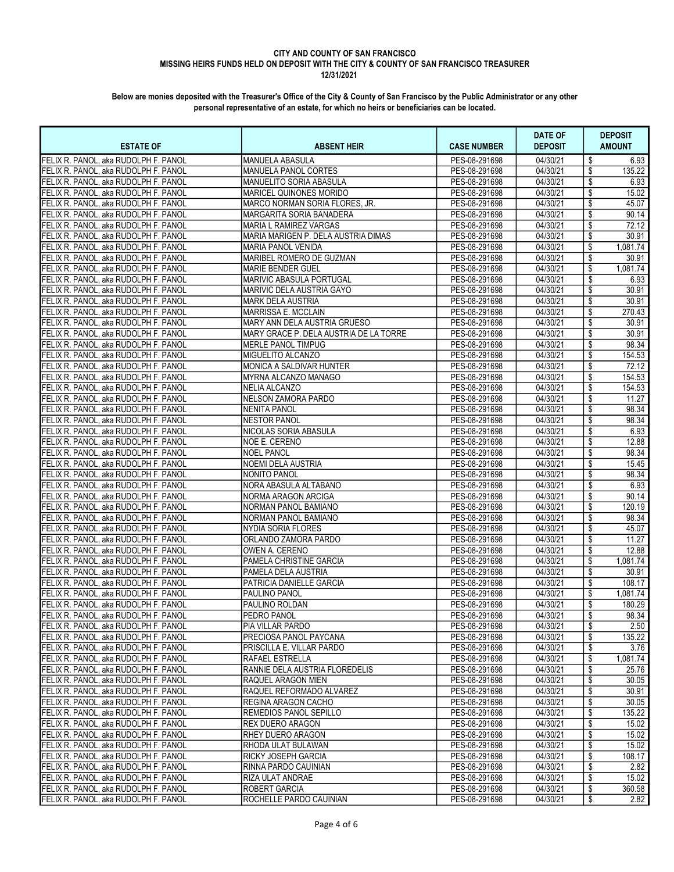| <b>ESTATE OF</b>                     | <b>ABSENT HEIR</b>                     | <b>CASE NUMBER</b> | <b>DATE OF</b><br><b>DEPOSIT</b> | <b>DEPOSIT</b><br><b>AMOUNT</b> |
|--------------------------------------|----------------------------------------|--------------------|----------------------------------|---------------------------------|
| FELIX R. PANOL. aka RUDOLPH F. PANOL | MANUELA ABASULA                        | PES-08-291698      | $\overline{04/30/21}$            | \$<br>6.93                      |
| FELIX R. PANOL, aka RUDOLPH F. PANOL | MANUELA PANOL CORTES                   | PES-08-291698      | 04/30/21                         | \$<br>135.22                    |
| FELIX R. PANOL, aka RUDOLPH F. PANOL | <b>MANUELITO SORIA ABASULA</b>         | PES-08-291698      | 04/30/21                         | \$<br>6.93                      |
| FELIX R. PANOL, aka RUDOLPH F. PANOL | MARICEL QUINONES MORIDO                | PES-08-291698      | 04/30/21                         | \$<br>15.02                     |
| FELIX R. PANOL, aka RUDOLPH F. PANOL | MARCO NORMAN SORIA FLORES. JR.         | PES-08-291698      | 04/30/21                         | \$<br>45.07                     |
| FELIX R. PANOL, aka RUDOLPH F. PANOL | MARGARITA SORIA BANADERA               | PES-08-291698      | 04/30/21                         | \$<br>90.14                     |
| FELIX R. PANOL, aka RUDOLPH F. PANOL | MARIA L RAMIREZ VARGAS                 | PES-08-291698      | 04/30/21                         | \$<br>72.12                     |
| FELIX R. PANOL. aka RUDOLPH F. PANOL | MARIA MARIGEN P. DELA AUSTRIA DIMAS    | PES-08-291698      | 04/30/21                         | \$<br>30.91                     |
| FELIX R. PANOL, aka RUDOLPH F. PANOL | MARIA PANOL VENIDA                     | PES-08-291698      | 04/30/21                         | \$<br>1,081.74                  |
| FELIX R. PANOL, aka RUDOLPH F. PANOL | MARIBEL ROMERO DE GUZMAN               | PES-08-291698      | 04/30/21                         | \$<br>30.91                     |
| FELIX R. PANOL. aka RUDOLPH F. PANOL | MARIE BENDER GUEL                      | PES-08-291698      | 04/30/21                         | \$<br>1,081.74                  |
| FELIX R. PANOL, aka RUDOLPH F. PANOL | MARIVIC ABASULA PORTUGAL               | PES-08-291698      | 04/30/21                         | \$<br>6.93                      |
| FELIX R. PANOL, aka RUDOLPH F. PANOL | MARIVIC DELA AUSTRIA GAYO              | PES-08-291698      | 04/30/21                         | 30.91<br>\$                     |
| FELIX R. PANOL, aka RUDOLPH F. PANOL | <b>MARK DELA AUSTRIA</b>               | PES-08-291698      | 04/30/21                         | \$<br>30.91                     |
| FELIX R. PANOL, aka RUDOLPH F. PANOL | <b>MARRISSA E. MCCLAIN</b>             | PES-08-291698      | 04/30/21                         | \$<br>270.43                    |
| FELIX R. PANOL, aka RUDOLPH F. PANOL | MARY ANN DELA AUSTRIA GRUESO           | PES-08-291698      | 04/30/21                         | \$<br>30.91                     |
| FELIX R. PANOL, aka RUDOLPH F. PANOL | MARY GRACE P. DELA AUSTRIA DE LA TORRE | PES-08-291698      | 04/30/21                         | \$<br>30.91                     |
| FELIX R. PANOL, aka RUDOLPH F. PANOL | MERLE PANOL TIMPUG                     | PES-08-291698      | 04/30/21                         | \$<br>98.34                     |
| FELIX R. PANOL, aka RUDOLPH F. PANOL | MIGUELITO ALCANZO                      | PES-08-291698      | 04/30/21                         | \$<br>154.53                    |
| FELIX R. PANOL, aka RUDOLPH F. PANOL | MONICA A SALDIVAR HUNTER               | PES-08-291698      | 04/30/21                         | \$<br>72.12                     |
| FELIX R. PANOL, aka RUDOLPH F. PANOL | MYRNA ALCANZO MANAGO                   | PES-08-291698      | 04/30/21                         | \$<br>154.53                    |
| FELIX R. PANOL, aka RUDOLPH F. PANOL | <b>NELIA ALCANZO</b>                   | PES-08-291698      | 04/30/21                         | 154.53<br>\$                    |
| FELIX R. PANOL, aka RUDOLPH F. PANOL | NELSON ZAMORA PARDO                    | PES-08-291698      | 04/30/21                         | \$<br>11.27                     |
| FELIX R. PANOL, aka RUDOLPH F. PANOL | <b>NENITA PANOL</b>                    | PES-08-291698      | 04/30/21                         | \$<br>98.34                     |
| FELIX R. PANOL, aka RUDOLPH F. PANOL | <b>NESTOR PANOL</b>                    | PES-08-291698      | 04/30/21                         | \$<br>98.34                     |
| FELIX R. PANOL, aka RUDOLPH F. PANOL | NICOLAS SORIA ABASULA                  | PES-08-291698      | 04/30/21                         | \$<br>6.93                      |
| FELIX R. PANOL, aka RUDOLPH F. PANOL | NOE E. CERENO                          | PES-08-291698      | 04/30/21                         | \$<br>12.88                     |
| FELIX R. PANOL, aka RUDOLPH F. PANOL | <b>NOEL PANOL</b>                      | PES-08-291698      | 04/30/21                         | \$<br>98.34                     |
| FELIX R. PANOL, aka RUDOLPH F. PANOL | NOEMI DELA AUSTRIA                     | PES-08-291698      | 04/30/21                         | \$<br>15.45                     |
| FELIX R. PANOL, aka RUDOLPH F. PANOL | <b>NONITO PANOL</b>                    | PES-08-291698      | 04/30/21                         | \$<br>98.34                     |
| FELIX R. PANOL, aka RUDOLPH F. PANOL | NORA ABASULA ALTABANO                  | PES-08-291698      | 04/30/21                         | \$<br>6.93                      |
| FELIX R. PANOL, aka RUDOLPH F. PANOL | NORMA ARAGON ARCIGA                    | PES-08-291698      | 04/30/21                         | \$<br>90.14                     |
| FELIX R. PANOL, aka RUDOLPH F. PANOL | NORMAN PANOL BAMIANO                   | PES-08-291698      | 04/30/21                         | \$<br>120.19                    |
| FELIX R. PANOL, aka RUDOLPH F. PANOL | NORMAN PANOL BAMIANO                   | PES-08-291698      | 04/30/21                         | \$<br>98.34                     |
| FELIX R. PANOL, aka RUDOLPH F. PANOL | <b>NYDIA SORIA FLORES</b>              | PES-08-291698      | 04/30/21                         | \$<br>45.07                     |
| FELIX R. PANOL, aka RUDOLPH F. PANOL | ORLANDO ZAMORA PARDO                   | PES-08-291698      | 04/30/21                         | \$<br>11.27                     |
| FELIX R. PANOL, aka RUDOLPH F. PANOL | OWEN A. CERENO                         | PES-08-291698      | 04/30/21                         | \$<br>12.88                     |
| FELIX R. PANOL, aka RUDOLPH F. PANOL | PAMELA CHRISTINE GARCIA                | PES-08-291698      | 04/30/21                         | \$<br>1,081.74                  |
| FELIX R. PANOL, aka RUDOLPH F. PANOL | PAMELA DELA AUSTRIA                    | PES-08-291698      | 04/30/21                         | \$<br>30.91                     |
| FELIX R. PANOL, aka RUDOLPH F. PANOL | PATRICIA DANIELLE GARCIA               | PES-08-291698      | 04/30/21                         | \$<br>108.17                    |
| FELIX R. PANOL, aka RUDOLPH F. PANOL | PAULINO PANOL                          | PES-08-291698      | 04/30/21                         | \$<br>1.081.74                  |
| FELIX R. PANOL, aka RUDOLPH F. PANOL | PAULINO ROLDAN                         | PES-08-291698      | 04/30/21                         | \$<br>180.29                    |
| FELIX R. PANOL, aka RUDOLPH F. PANOL | PEDRO PANOL                            | PES-08-291698      | 04/30/21                         | \$<br>98.34                     |
| FELIX R. PANOL, aka RUDOLPH F. PANOL | PIA VILLAR PARDO                       | PES-08-291698      | 04/30/21                         | \$<br>2.50                      |
| FELIX R. PANOL. aka RUDOLPH F. PANOL | PRECIOSA PANOL PAYCANA                 | PES-08-291698      | 04/30/21                         | \$<br>135.22                    |
| FELIX R. PANOL, aka RUDOLPH F. PANOL | PRISCILLA E. VILLAR PARDO              | PES-08-291698      | 04/30/21                         | \$<br>3.76                      |
| FELIX R. PANOL, aka RUDOLPH F. PANOL | RAFAEL ESTRELLA                        | PES-08-291698      | 04/30/21                         | \$<br>1,081.74                  |
| FELIX R. PANOL, aka RUDOLPH F. PANOL | RANNIE DELA AUSTRIA FLOREDELIS         | PES-08-291698      | 04/30/21                         | \$<br>25.76                     |
| FELIX R. PANOL, aka RUDOLPH F. PANOL | RAQUEL ARAGON MIEN                     | PES-08-291698      | 04/30/21                         | \$<br>30.05                     |
| FELIX R. PANOL. aka RUDOLPH F. PANOL | RAQUEL REFORMADO ALVAREZ               | PES-08-291698      | 04/30/21                         | \$<br>30.91                     |
| FELIX R. PANOL, aka RUDOLPH F. PANOL | REGINA ARAGON CACHO                    | PES-08-291698      | 04/30/21                         | \$<br>30.05                     |
| FELIX R. PANOL, aka RUDOLPH F. PANOL | REMEDIOS PANOL SEPILLO                 | PES-08-291698      | 04/30/21                         | \$<br>135.22                    |
| FELIX R. PANOL, aka RUDOLPH F. PANOL | REX DUERO ARAGON                       | PES-08-291698      | 04/30/21                         | \$<br>15.02                     |
| FELIX R. PANOL, aka RUDOLPH F. PANOL | RHEY DUERO ARAGON                      | PES-08-291698      | 04/30/21                         | \$<br>15.02                     |
| FELIX R. PANOL, aka RUDOLPH F. PANOL | RHODA ULAT BULAWAN                     | PES-08-291698      | 04/30/21                         | \$<br>15.02                     |
| FELIX R. PANOL, aka RUDOLPH F. PANOL | RICKY JOSEPH GARCIA                    | PES-08-291698      | 04/30/21                         | \$<br>108.17                    |
|                                      |                                        |                    |                                  |                                 |
| FELIX R. PANOL, aka RUDOLPH F. PANOL | RINNA PARDO CAUINIAN                   | PES-08-291698      | 04/30/21                         | \$<br>2.82                      |
| FELIX R. PANOL, aka RUDOLPH F. PANOL | RIZA ULAT ANDRAE                       | PES-08-291698      | 04/30/21                         | \$<br>15.02                     |
| FELIX R. PANOL, aka RUDOLPH F. PANOL | ROBERT GARCIA                          | PES-08-291698      | 04/30/21                         | \$<br>360.58                    |
| FELIX R. PANOL, aka RUDOLPH F. PANOL | ROCHELLE PARDO CAUINIAN                | PES-08-291698      | 04/30/21                         | 2.82<br>\$                      |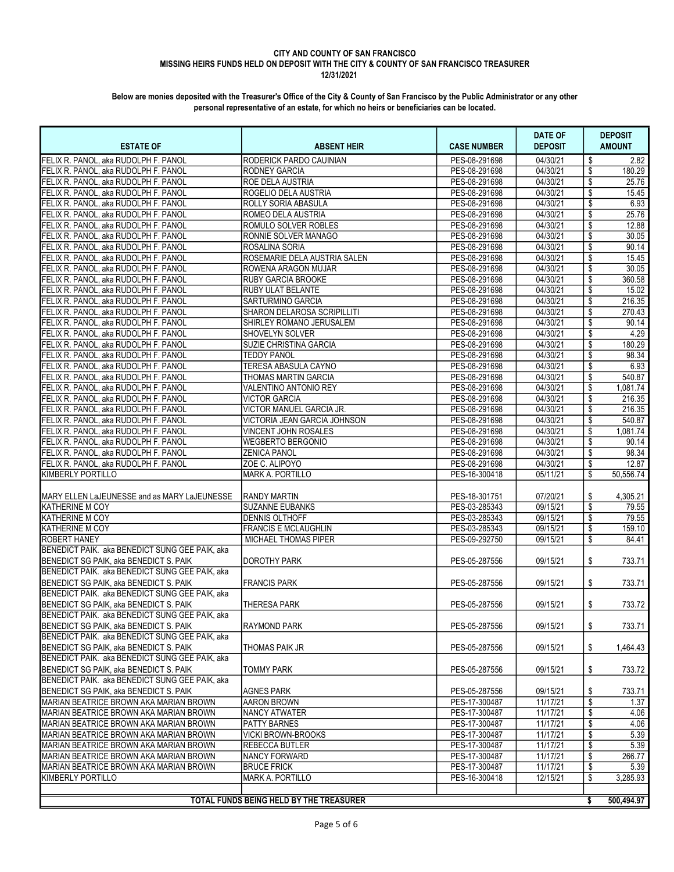| <b>ESTATE OF</b>                                            | <b>ABSENT HEIR</b>                      | <b>CASE NUMBER</b>             | DATE OF<br><b>DEPOSIT</b> | <b>DEPOSIT</b><br><b>AMOUNT</b> |
|-------------------------------------------------------------|-----------------------------------------|--------------------------------|---------------------------|---------------------------------|
| FELIX R. PANOL. aka RUDOLPH F. PANOL                        | RODERICK PARDO CAUINIAN                 | PES-08-291698                  | 04/30/21                  | 2.82<br>\$                      |
| FELIX R. PANOL, aka RUDOLPH F. PANOL                        | <b>RODNEY GARCIA</b>                    | PES-08-291698                  | 04/30/21                  | \$<br>180.29                    |
| FELIX R. PANOL, aka RUDOLPH F. PANOL                        | <b>ROE DELA AUSTRIA</b>                 | PES-08-291698                  | 04/30/21                  | \$<br>25.76                     |
| FELIX R. PANOL, aka RUDOLPH F. PANOL                        | ROGELIO DELA AUSTRIA                    | PES-08-291698                  | 04/30/21                  | \$<br>15.45                     |
| FELIX R. PANOL, aka RUDOLPH F. PANOL                        | ROLLY SORIA ABASULA                     | PES-08-291698                  | 04/30/21                  | \$<br>6.93                      |
| FELIX R. PANOL, aka RUDOLPH F. PANOL                        | <b>ROMEO DELA AUSTRIA</b>               | PES-08-291698                  | 04/30/21                  | \$<br>25.76                     |
| FELIX R. PANOL, aka RUDOLPH F. PANOL                        | <b>ROMULO SOLVER ROBLES</b>             | PES-08-291698                  | 04/30/21                  | \$<br>12.88                     |
| FELIX R. PANOL, aka RUDOLPH F. PANOL                        | RONNIE SOLVER MANAGO                    | PES-08-291698                  | 04/30/21                  | \$<br>30.05                     |
| FELIX R. PANOL, aka RUDOLPH F. PANOL                        | ROSALINA SORIA                          | PES-08-291698                  | 04/30/21                  | \$<br>90.14                     |
| FELIX R. PANOL, aka RUDOLPH F. PANOL                        | ROSEMARIE DELA AUSTRIA SALEN            | PES-08-291698                  | 04/30/21                  | \$<br>15.45                     |
| FELIX R. PANOL, aka RUDOLPH F. PANOL                        | <b>ROWENA ARAGON MUJAR</b>              | PES-08-291698                  | 04/30/21                  | \$<br>30.05                     |
| FELIX R. PANOL, aka RUDOLPH F. PANOL                        | <b>RUBY GARCIA BROOKE</b>               | PES-08-291698                  | 04/30/21                  | \$<br>360.58                    |
| FELIX R. PANOL, aka RUDOLPH F. PANOL                        | RUBY ULAT BELANTE                       | PES-08-291698                  | 04/30/21                  | \$<br>15.02                     |
| FELIX R. PANOL, aka RUDOLPH F. PANOL                        | <b>SARTURMINO GARCIA</b>                | PES-08-291698                  | 04/30/21                  | \$<br>216.35                    |
| FELIX R. PANOL, aka RUDOLPH F. PANOL                        | SHARON DELAROSA SCRIPILLITI             | PES-08-291698                  | 04/30/21                  | \$<br>270.43                    |
| FELIX R. PANOL, aka RUDOLPH F. PANOL                        | SHIRLEY ROMANO JERUSALEM                | PES-08-291698                  | 04/30/21                  | \$<br>90.14                     |
| FELIX R. PANOL, aka RUDOLPH F. PANOL                        | <b>SHOVELYN SOLVER</b>                  | PES-08-291698                  | 04/30/21                  | 4.29<br>\$                      |
| FELIX R. PANOL. aka RUDOLPH F. PANOL                        | <b>SUZIE CHRISTINA GARCIA</b>           | PES-08-291698                  | 04/30/21                  | \$<br>180.29                    |
| FELIX R. PANOL, aka RUDOLPH F. PANOL                        | <b>TEDDY PANOL</b>                      | PES-08-291698                  | 04/30/21                  | \$<br>98.34                     |
| FELIX R. PANOL, aka RUDOLPH F. PANOL                        | TERESA ABASULA CAYNO                    | PES-08-291698                  | 04/30/21                  | \$<br>6.93                      |
| FELIX R. PANOL. aka RUDOLPH F. PANOL                        | THOMAS MARTIN GARCIA                    | PES-08-291698                  | 04/30/21                  | \$<br>540.87                    |
| FELIX R. PANOL, aka RUDOLPH F. PANOL                        | VALENTINO ANTONIO REY                   | PES-08-291698                  | 04/30/21                  | \$<br>1,081.74                  |
| FELIX R. PANOL, aka RUDOLPH F. PANOL                        | <b>VICTOR GARCIA</b>                    | PES-08-291698                  | 04/30/21                  | \$<br>216.35                    |
| FELIX R. PANOL, aka RUDOLPH F. PANOL                        | VICTOR MANUEL GARCIA JR.                | PES-08-291698                  | 04/30/21                  | \$<br>216.35                    |
| FELIX R. PANOL, aka RUDOLPH F. PANOL                        | VICTORIA JEAN GARCIA JOHNSON            | PES-08-291698                  | 04/30/21                  | \$<br>540.87                    |
| FELIX R. PANOL, aka RUDOLPH F. PANOL                        | VINCENT JOHN ROSALES                    | PES-08-291698                  | 04/30/21                  | \$<br>1,081.74                  |
| FELIX R. PANOL, aka RUDOLPH F. PANOL                        | <b>WEGBERTO BERGONIO</b>                | PES-08-291698                  | 04/30/21                  | \$<br>90.14                     |
| FELIX R. PANOL, aka RUDOLPH F. PANOL                        | <b>ZENICA PANOL</b>                     | PES-08-291698                  | 04/30/21                  | \$<br>98.34                     |
| FELIX R. PANOL, aka RUDOLPH F. PANOL                        | ZOE C. ALIPOYO                          | PES-08-291698                  | 04/30/21                  | \$<br>12.87                     |
| KIMBERLY PORTILLO                                           | <b>MARK A. PORTILLO</b>                 | PES-16-300418                  | 05/11/21                  | \$<br>50,556.74                 |
|                                                             |                                         |                                |                           |                                 |
| MARY ELLEN LaJEUNESSE and as MARY LaJEUNESSE                | RANDY MARTIN                            | PES-18-301751                  | 07/20/21                  | 4,305.21<br>S                   |
| KATHERINE M COY                                             | <b>SUZANNE EUBANKS</b>                  | PES-03-285343                  | 09/15/21                  | \$<br>79.55                     |
| <b>KATHERINE M COY</b>                                      | <b>DENNIS OLTHOFF</b>                   | PES-03-285343                  | 09/15/21                  | \$<br>79.55                     |
| KATHERINE M COY                                             | <b>FRANCIS E MCLAUGHLIN</b>             | PES-03-285343                  | 09/15/21                  | \$<br>159.10                    |
| <b>ROBERT HANEY</b>                                         | MICHAEL THOMAS PIPER                    | PES-09-292750                  | 09/15/21                  | \$<br>84.41                     |
| BENEDICT PAIK. aka BENEDICT SUNG GEE PAIK, aka              |                                         |                                |                           |                                 |
| BENEDICT SG PAIK, aka BENEDICT S. PAIK                      | <b>DOROTHY PARK</b>                     | PES-05-287556                  | 09/15/21                  | \$<br>733.71                    |
| BENEDICT PAIK. aka BENEDICT SUNG GEE PAIK, aka              |                                         |                                |                           |                                 |
| BENEDICT SG PAIK, aka BENEDICT S. PAIK                      | FRANCIS PARK                            | PES-05-287556                  | 09/15/21                  | \$<br>733.71                    |
| BENEDICT PAIK. aka BENEDICT SUNG GEE PAIK, aka              |                                         |                                |                           |                                 |
| BENEDICT SG PAIK, aka BENEDICT S. PAIK                      | <b>THERESA PARK</b>                     | PES-05-287556                  | 09/15/21                  | \$<br>733.72                    |
| BENEDICT PAIK. aka BENEDICT SUNG GEE PAIK, aka              |                                         |                                |                           |                                 |
| BENEDICT SG PAIK, aka BENEDICT S. PAIK                      | <b>RAYMOND PARK</b>                     | PES-05-287556                  | 09/15/21                  | \$<br>733.71                    |
| BENEDICT PAIK. aka BENEDICT SUNG GEE PAIK, aka              |                                         |                                |                           |                                 |
| BENEDICT SG PAIK, aka BENEDICT S, PAIK                      | THOMAS PAIK JR                          | PES-05-287556                  | 09/15/21                  | 1,464.43<br>\$                  |
| BENEDICT PAIK. aka BENEDICT SUNG GEE PAIK, aka              |                                         |                                |                           |                                 |
| BENEDICT SG PAIK, aka BENEDICT S. PAIK                      | TOMMY PARK                              | PES-05-287556                  | 09/15/21                  | 733.72<br>\$                    |
| BENEDICT PAIK. aka BENEDICT SUNG GEE PAIK, aka              |                                         |                                |                           |                                 |
| BENEDICT SG PAIK, aka BENEDICT S. PAIK                      | <b>AGNES PARK</b>                       | PES-05-287556                  | 09/15/21                  | \$<br>733.71                    |
| MARIAN BEATRICE BROWN AKA MARIAN BROWN                      | <b>AARON BROWN</b>                      | PES-17-300487                  | 11/17/21                  | \$<br>1.37                      |
| MARIAN BEATRICE BROWN AKA MARIAN BROWN                      | <b>NANCY ATWATER</b>                    | PES-17-300487                  | 11/17/21                  | \$<br>4.06                      |
| MARIAN BEATRICE BROWN AKA MARIAN BROWN                      | <b>PATTY BARNES</b>                     | PES-17-300487                  | 11/17/21                  | \$<br>4.06                      |
|                                                             | <b>VICKI BROWN-BROOKS</b>               |                                | 11/17/21                  | \$                              |
| MARIAN BEATRICE BROWN AKA MARIAN BROWN                      |                                         | PES-17-300487                  | 11/17/21                  | 5.39                            |
| MARIAN BEATRICE BROWN AKA MARIAN BROWN                      | <b>REBECCA BUTLER</b>                   | PES-17-300487<br>PES-17-300487 | 11/17/21                  | \$<br>5.39<br>\$<br>266.77      |
| MARIAN BEATRICE BROWN AKA MARIAN BROWN                      | NANCY FORWARD<br><b>BRUCE FRICK</b>     | PES-17-300487                  | 11/17/21                  |                                 |
| MARIAN BEATRICE BROWN AKA MARIAN BROWN<br>KIMBERLY PORTILLO |                                         |                                |                           | \$<br>5.39                      |
|                                                             | <b>MARK A. PORTILLO</b>                 | PES-16-300418                  | 12/15/21                  | \$<br>3,285.93                  |
|                                                             |                                         |                                |                           |                                 |
|                                                             | TOTAL FUNDS BEING HELD BY THE TREASURER |                                |                           | \$<br>500,494.97                |